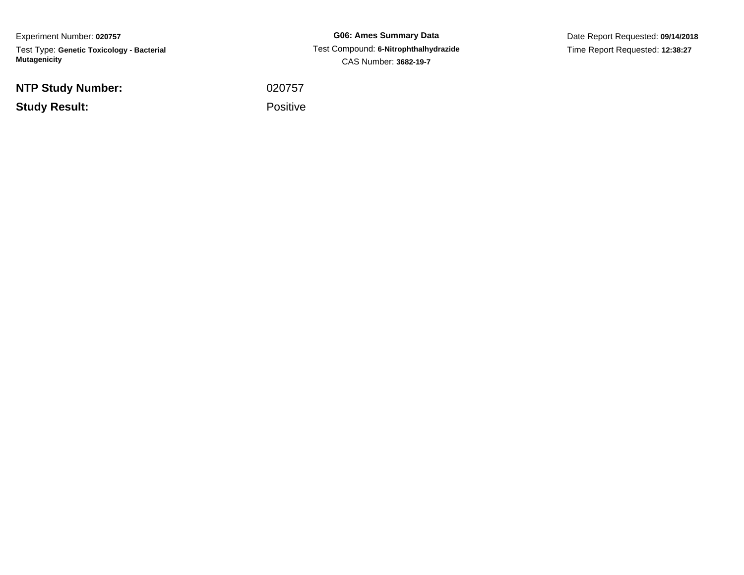Experiment Number: **020757**Test Type: **Genetic Toxicology - Bacterial Mutagenicity**

**NTP Study Number:**

**Study Result:**

**G06: Ames Summary Data** Test Compound: **6-Nitrophthalhydrazide**CAS Number: **3682-19-7**

Date Report Requested: **09/14/2018**Time Report Requested: **12:38:27**

<sup>020757</sup>

Positive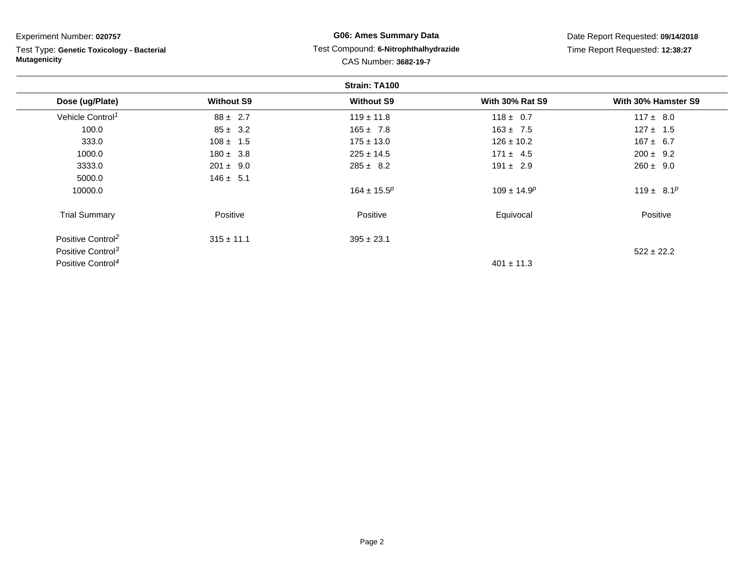| Experiment Number: 020757<br>Test Type: Genetic Toxicology - Bacterial<br><b>Mutagenicity</b> |                   | <b>G06: Ames Summary Data</b><br>Test Compound: 6-Nitrophthalhydrazide<br>CAS Number: 3682-19-7 |                        | Date Report Requested: 09/14/2018<br>Time Report Requested: 12:38:27 |  |
|-----------------------------------------------------------------------------------------------|-------------------|-------------------------------------------------------------------------------------------------|------------------------|----------------------------------------------------------------------|--|
|                                                                                               |                   | Strain: TA100                                                                                   |                        |                                                                      |  |
| Dose (ug/Plate)                                                                               | <b>Without S9</b> | <b>Without S9</b>                                                                               | <b>With 30% Rat S9</b> | With 30% Hamster S9                                                  |  |
| Vehicle Control <sup>1</sup>                                                                  | $88 \pm 2.7$      | $119 \pm 11.8$                                                                                  | $118 \pm 0.7$          | $117 \pm 8.0$                                                        |  |
| 100.0                                                                                         | $85 \pm 3.2$      | $165 \pm 7.8$                                                                                   | $163 \pm 7.5$          | $127 \pm 1.5$                                                        |  |
| 333.0                                                                                         | $108 \pm 1.5$     | $175 \pm 13.0$                                                                                  | $126 \pm 10.2$         | $167 \pm 6.7$                                                        |  |
| 1000.0                                                                                        | $180 \pm 3.8$     | $225 \pm 14.5$                                                                                  | $171 \pm 4.5$          | $200 \pm 9.2$                                                        |  |
| 3333.0                                                                                        | $201 \pm 9.0$     | $285 \pm 8.2$                                                                                   | $191 \pm 2.9$          | $260 \pm 9.0$                                                        |  |
| 5000.0                                                                                        | $146 \pm 5.1$     |                                                                                                 |                        |                                                                      |  |
| 10000.0                                                                                       |                   | $164 \pm 15.5^p$                                                                                | $109 \pm 14.9^p$       | 119 ± 8.1 <sup>p</sup>                                               |  |
| <b>Trial Summary</b>                                                                          | Positive          | Positive                                                                                        | Equivocal              | Positive                                                             |  |
| Positive Control <sup>2</sup>                                                                 | $315 \pm 11.1$    | $395 \pm 23.1$                                                                                  |                        |                                                                      |  |
| Positive Control <sup>3</sup>                                                                 |                   |                                                                                                 |                        | $522 \pm 22.2$                                                       |  |
| Positive Control <sup>4</sup>                                                                 |                   |                                                                                                 | $401 \pm 11.3$         |                                                                      |  |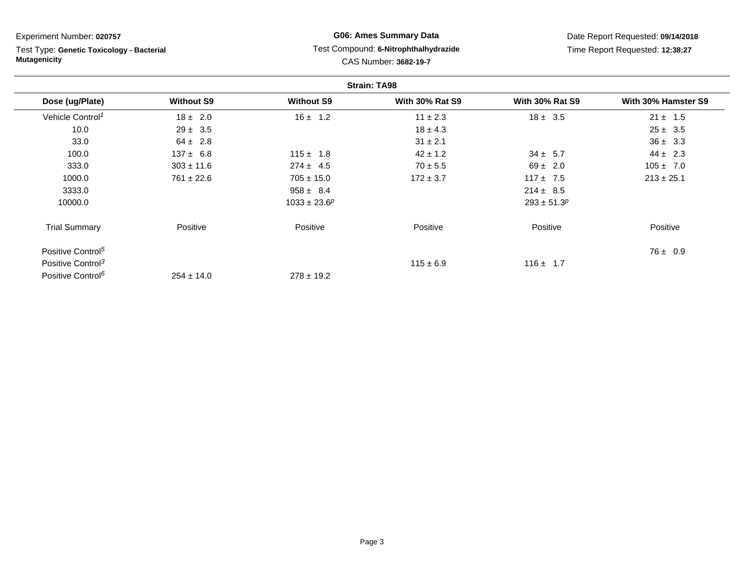### Experiment Number: **020757**

Test Type: **Genetic Toxicology - Bacterial Mutagenicity**

## **G06: Ames Summary Data** Test Compound: **6-Nitrophthalhydrazide**CAS Number: **3682-19-7**

Date Report Requested: **09/14/2018**Time Report Requested: **12:38:27**

|                               |                   |                   | <b>Strain: TA98</b>    |                        |                     |
|-------------------------------|-------------------|-------------------|------------------------|------------------------|---------------------|
| Dose (ug/Plate)               | <b>Without S9</b> | <b>Without S9</b> | <b>With 30% Rat S9</b> | <b>With 30% Rat S9</b> | With 30% Hamster S9 |
| Vehicle Control <sup>1</sup>  | $18 \pm 2.0$      | $16 \pm 1.2$      | $11 \pm 2.3$           | $18 \pm 3.5$           | $21 \pm 1.5$        |
| 10.0                          | $29 \pm 3.5$      |                   | $18 \pm 4.3$           |                        | $25 \pm 3.5$        |
| 33.0                          | $64 \pm 2.8$      |                   | $31 \pm 2.1$           |                        | $36 \pm 3.3$        |
| 100.0                         | $137 \pm 6.8$     | $115 \pm 1.8$     | $42 \pm 1.2$           | $34 \pm 5.7$           | $44 \pm 2.3$        |
| 333.0                         | $303 \pm 11.6$    | $274 \pm 4.5$     | $70 \pm 5.5$           | $69 \pm 2.0$           | $105 \pm 7.0$       |
| 1000.0                        | $761 \pm 22.6$    | $705 \pm 15.0$    | $172 \pm 3.7$          | $117 \pm 7.5$          | $213 \pm 25.1$      |
| 3333.0                        |                   | $958 \pm 8.4$     |                        | $214 \pm 8.5$          |                     |
| 10000.0                       |                   | $1033 \pm 23.6^p$ |                        | $293 \pm 51.3^p$       |                     |
| <b>Trial Summary</b>          | Positive          | Positive          | Positive               | Positive               | Positive            |
| Positive Control <sup>5</sup> |                   |                   |                        |                        | $76 \pm 0.9$        |
| Positive Control <sup>3</sup> |                   |                   | $115 \pm 6.9$          | $116 \pm 1.7$          |                     |
| Positive Control <sup>6</sup> | $254 \pm 14.0$    | $278 \pm 19.2$    |                        |                        |                     |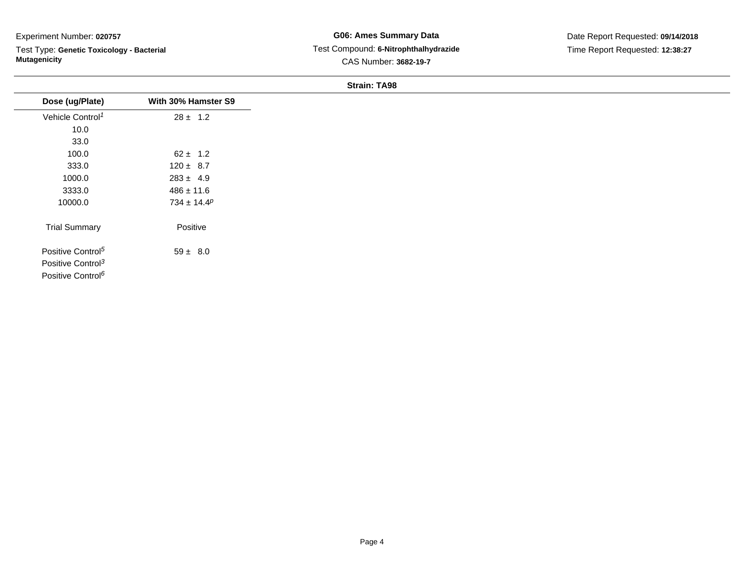### Experiment Number: **020757**

 $\overline{\phantom{a}}$ 

Test Type: **Genetic Toxicology - Bacterial Mutagenicity**

## **G06: Ames Summary Data** Test Compound: **6-Nitrophthalhydrazide**CAS Number: **3682-19-7**

Date Report Requested: **09/14/2018**Time Report Requested: **12:38:27**

#### **Strain: TA98**

| Dose (ug/Plate)               | With 30% Hamster S9 |  |
|-------------------------------|---------------------|--|
| Vehicle Control <sup>1</sup>  | $28 \pm 1.2$        |  |
| 10.0                          |                     |  |
| 33.0                          |                     |  |
| 100.0                         | $62 \pm 1.2$        |  |
| 333.0                         | $120 \pm 8.7$       |  |
| 1000.0                        | $283 \pm 4.9$       |  |
| 3333.0                        | $486 \pm 11.6$      |  |
| 10000.0                       | $734 \pm 14.4^p$    |  |
| <b>Trial Summary</b>          | Positive            |  |
| Positive Control <sup>5</sup> | $59 \pm 8.0$        |  |
| Positive Control <sup>3</sup> |                     |  |
| Positive Control <sup>6</sup> |                     |  |